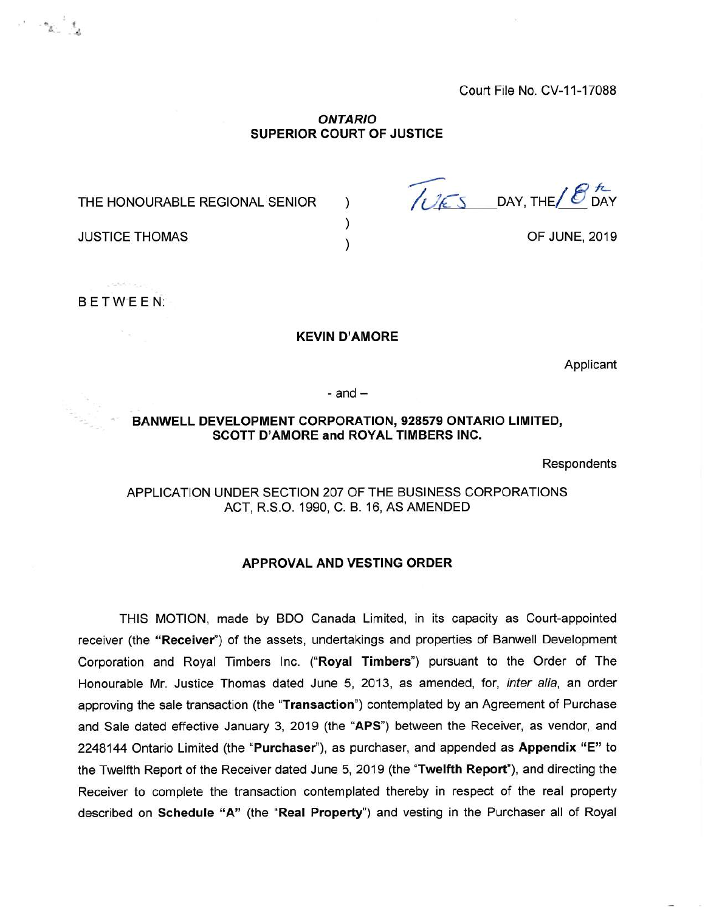Court File No. CV-11-17088

#### *ONTARIO* **SUPERIOR COURT OF JUSTICE**

) ) )

THE HONOURABLE REGIONAL SENIOR

DAY, THE *h-*DAY

OF JUNE, 2019

JUSTICE THOMAS

BETWEEN:

 $\frac{1}{\alpha}$ 

#### **KEVIN D'AMORE**

Applicant

 $-$  and  $-$ 

## **BANWELL DEVELOPMENT CORPORATION, 928579 ONTARIO LIMITED, SCOTT D'AMORE and ROYAL TIMBERS INC.**

Respondents

# APPLICATION UNDER SECTION 207 OF THE BUSINESS CORPORATIONS ACT, R.S.O. 1990, C. B. 16, AS AMENDED

#### **APPROVAL AND VESTING ORDER**

THIS MOTION, made by BDO Canada Limited, in its capacity as Court-appointed receiver (the **"Receiver")** of the assets, undertakings and properties of Banwell Development Corporation and Royal Timbers Inc. **("Royal Timbers")** pursuant to the Order of The Honourable Mr. Justice Thomas dated June 5, 2013, as amended, for, *inter alia,* an order approving the sale transaction (the **"Transaction")** contemplated by an Agreement of Purchase and Sale dated effective January 3, 2019 (the **"APS")** between the Receiver, as vendor, and 2248144 Ontario Limited (the **"Purchaser"),** as purchaser, and appended as **Appendix "E"** to the Twelfth Report of the Receiver dated June 5, 2019 (the **"Twelfth Report"),** and directing the Receiver to complete the transaction contemplated thereby in respect of the real property described on **Schedule "A"** (the **"Real Property")** and vesting in the Purchaser all of Royal

 $\label{eq:2} \mathcal{F}=\mathcal{F}_{\mathbf{X}\mathcal{C}}\mathcal{F}_{\mathbf{X}}$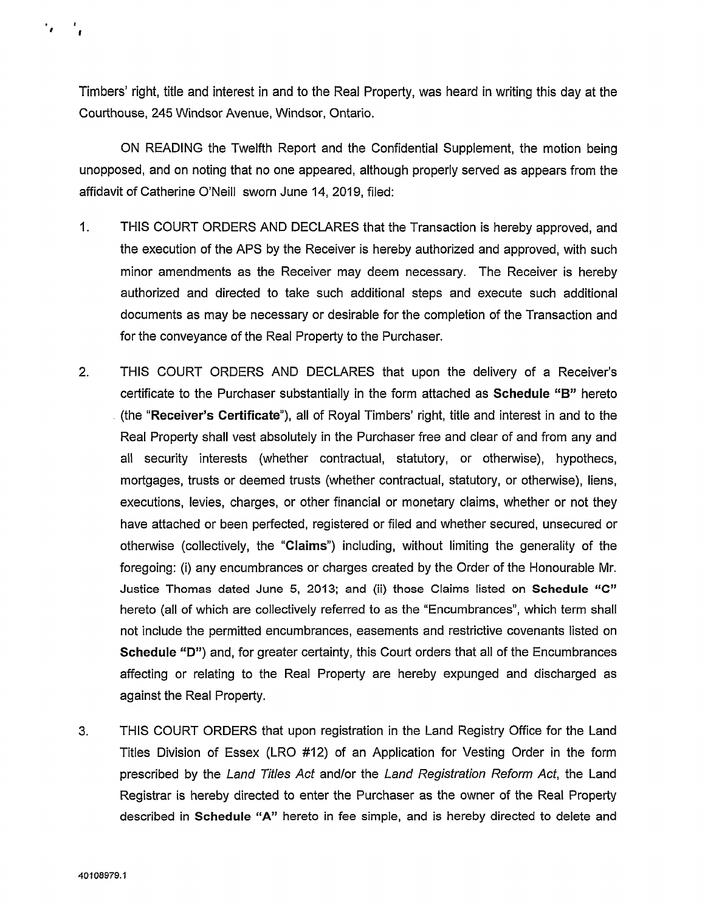Timbers' right, title and interest in and to the Real Property, was heard in writing this day at the Courthouse, 245 Windsor Avenue, Windsor, Ontario.

ON READING the Twelfth Report and the Confidential Supplement, the motion being unopposed, and on noting that no one appeared, although properly served as appears from the affidavit of Catherine O'Neill sworn June 14, 2019, filed:

- 1. THIS COURT ORDERS AND DECLARES that the Transaction is hereby approved, and the execution of the APS by the Receiver is hereby authorized and approved, with such minor amendments as the Receiver may deem necessary. The Receiver is hereby authorized and directed to take such additional steps and execute such additional documents as may be necessary or desirable for the completion of the Transaction and for the conveyance of the Real Property to the Purchaser.
- 2. THIS COURT ORDERS AND DECLARES that upon the delivery of a Receiver's certificate to the Purchaser substantially in the form attached as Schedule "B" hereto (the "Receiver's Certificate"), all of Royal Timbers' right, title and interest in and to the Real Property shall vest absolutely in the Purchaser free and clear of and from any and all security interests (whether contractual, statutory, or otherwise), hypothecs, mortgages, trusts or deemed trusts (whether contractual, statutory, or otherwise), liens, executions, levies, charges, or other financial or monetary claims, whether or not they have attached or been perfected, registered or filed and whether secured, unsecured or otherwise (collectively, the "Claims") including, without limiting the generality of the foregoing: (i) any encumbrances or charges created by the Order of the Honourable Mr. Justice Thomas dated June 5, 2013; and (ii) those Claims listed on **Schedule "C"** hereto (all of which are collectively referred to as the "Encumbrances", which term shall not include the permitted encumbrances, easements and restrictive covenants listed on Schedule "D") and, for greater certainty, this Court orders that all of the Encumbrances affecting or relating to the Real Property are hereby expunged and discharged as against the Real Property.
- 3. THIS COURT ORDERS that upon registration in the Land Registry Office for the Land Titles Division of Essex (LRO #12) of an Application for Vesting Order in the form prescribed by the *Land Titles Act* and/or the *Land Registration Reform Act,* the Land Registrar is hereby directed to enter the Purchaser as the owner of the Real Property described in **Schedule "A"** hereto in fee simple, and is hereby directed to delete and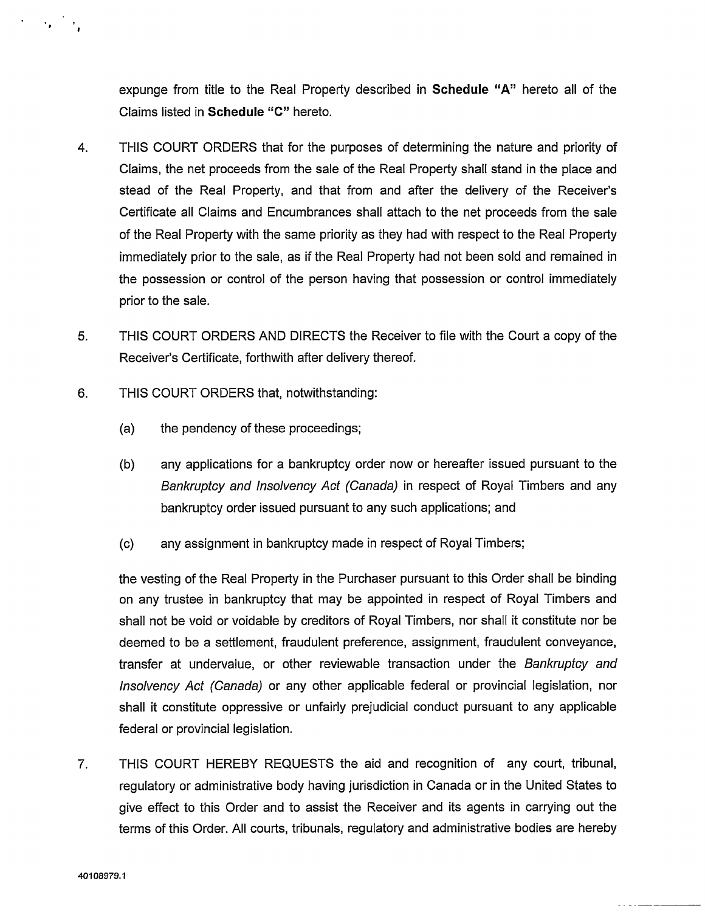expunge from title to the Real Property described in **Schedule "A"** hereto all of the Claims listed in **Schedule "C"** hereto.

- 4. THIS COURT ORDERS that for the purposes of determining the nature and priority of Claims, the net proceeds from the sale of the Real Property shall stand in the place and stead of the Real Property, and that from and after the delivery of the Receiver's Certificate all Claims and Encumbrances shall attach to the net proceeds from the sale of the Real Property with the same priority as they had with respect to the Real Property immediately prior to the sale, as if the Real Property had not been sold and remained in the possession or control of the person having that possession or control immediately prior to the sale.
- 5. THIS COURT ORDERS AND DIRECTS the Receiver to file with the Court a copy of the Receiver's Certificate, forthwith after delivery thereof.
- 6. THIS COURT ORDERS that, notwithstanding:
	- (a) the pendency of these proceedings;
	- (b) any applications for a bankruptcy order now or hereafter issued pursuant to the *Bankruptcy and Insolvency Act (Canada)* in respect of Royal Timbers and any bankruptcy order issued pursuant to any such applications; and
	- (c) any assignment in bankruptcy made in respect of Royal Timbers;

the vesting of the Real Property in the Purchaser pursuant to this Order shall be binding on any trustee in bankruptcy that may be appointed in respect of Royal Timbers and shall not be void or voidable by creditors of Royal Timbers, nor shall it constitute nor be deemed to be a settlement, fraudulent preference, assignment, fraudulent conveyance, transfer at undervalue, or other reviewable transaction under the *Bankruptcy and Insolvency Act (Canada)* or any other applicable federal or provincial legislation, nor shall it constitute oppressive or unfairly prejudicial conduct pursuant to any applicable federal or provincial legislation.

7. THIS COURT HEREBY REQUESTS the aid and recognition of any court, tribunal, regulatory or administrative body having jurisdiction in Canada or in the United States to give effect to this Order and to assist the Receiver and its agents in carrying out the terms of this Order. All courts, tribunals, regulatory and administrative bodies are hereby

 $\mathcal{L}(\mathcal{A})=\mathcal{A}(\mathcal{A})$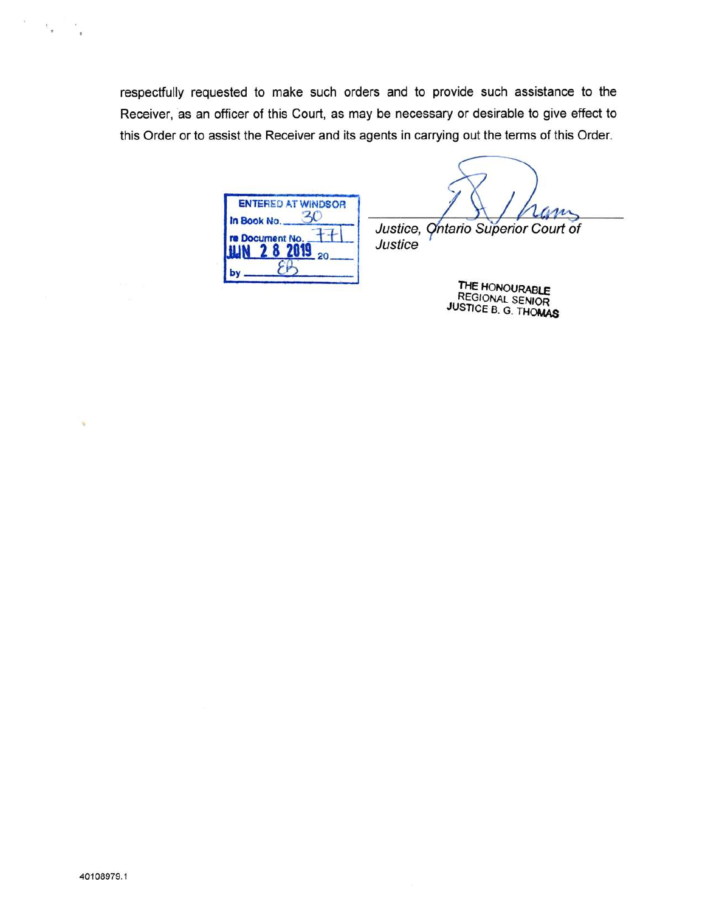respectfully requested to make such orders and to provide such assistance to the Receiver, as an officer of this Court, as may be necessary or desirable to give effect to this Order or to assist the Receiver and its agents in carrying out the terms of this Order.

*Justice*

|             | <b>ENTERED AT WINDSOR</b> |
|-------------|---------------------------|
| In Book No. |                           |
|             | re Document No.<br>20     |
|             |                           |

m *Justice, Ontario Superior Court of*

> THE HONOURABLE **REGIONAL SENIOR** JUSTICE B. G. THOMAS

 $\tau_{\rm g}$ 

 $\cdot$ 

×,

 $\tilde{\chi}$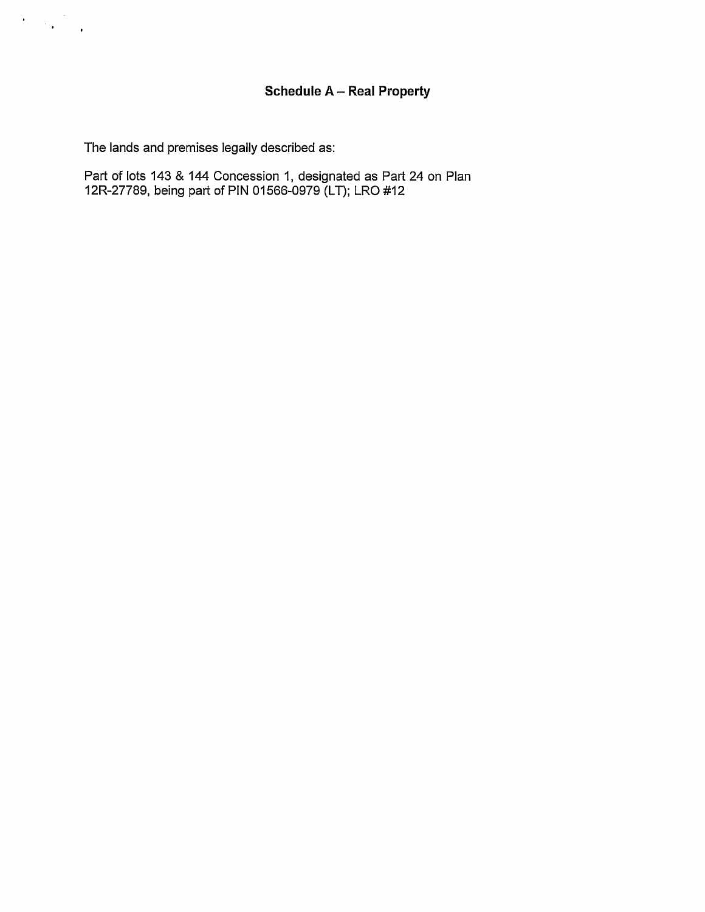The lands and premises legally described as:

 $\label{eq:2} \frac{1}{\sqrt{2}}\left(\frac{1}{\sqrt{2}}\right)^{2} \left(\frac{1}{\sqrt{2}}\right)^{2} \left(\frac{1}{\sqrt{2}}\right)^{2}$ 

Part of lots 143 & 144 Concession 1, designated as Part 24 on Plan 12R-27789, being part of PIN 01566-0979 (LT); LRO #12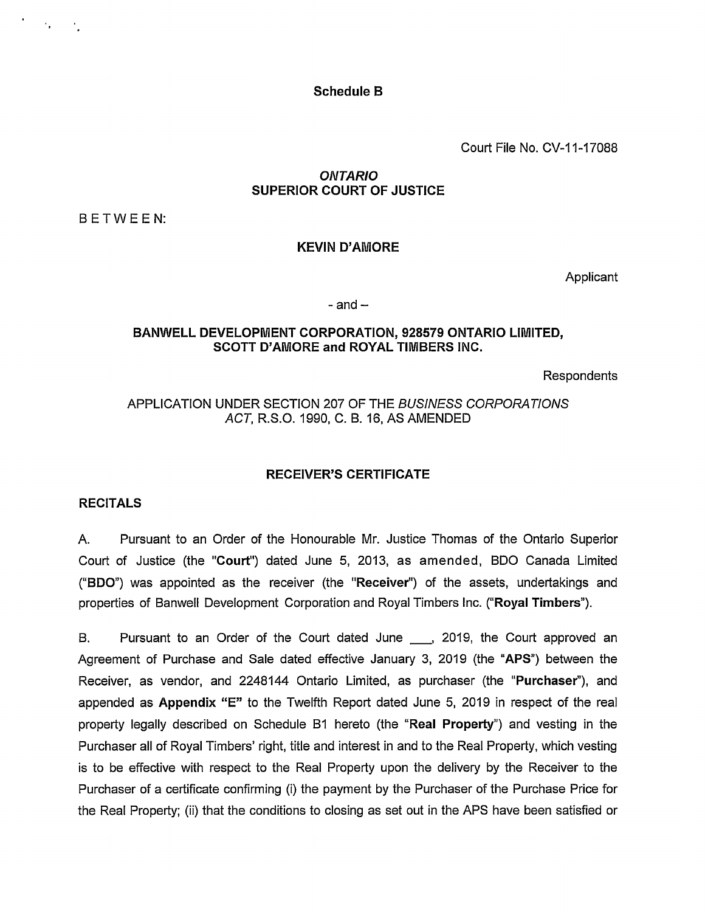Schedule B

Court File No. CV-11-17088

## *ONTARIO* SUPERIOR COURT OF JUSTICE

BETWEEN:

 $\mathcal{F}_{\mathbf{p}}$  , and  $\mathcal{F}_{\mathbf{p}}$ 

## KEVIN D'AMORE

Applicant

 $-$  and  $-$ 

#### BANWELL DEVELOPMENT CORPORATION, 928579 ONTARIO LIMITED, SCOTT D'AMORE and ROYAL TIMBERS INC.

Respondents

## APPLICATION UNDER SECTION 207 OF THE *BUSINESS CORPORATIONS ACT,* R.S.O. 1990, C. B. 16, AS AMENDED

### RECEIVER'S CERTIFICATE

### RECITALS

A. Pursuant to an Order of the Honourable Mr. Justice Thomas of the Ontario Superior Court of Justice (the "Court") dated June 5, 2013, as amended, BDO Canada Limited ("BDO") was appointed as the receiver (the "Receiver") of the assets, undertakings and properties of Banwell Development Corporation and Royal Timbers Inc. ("Royal Timbers").

B. Pursuant to an Order of the Court dated June \_\_\_, 2019, the Court approved an Agreement of Purchase and Sale dated effective January 3, 2019 (the "APS") between the Receiver, as vendor, and 2248144 Ontario Limited, as purchaser (the "Purchaser"), and appended as Appendix "E" to the Twelfth Report dated June 5, <sup>2019</sup> in respect of the real property legally described on Schedule B1 hereto (the "Real Property") and vesting in the Purchaser all of Royal Timbers' right, title and interest in and to the Real Property, which vesting is to be effective with respect to the Real Property upon the delivery by the Receiver to the Purchaser of a certificate confirming (i) the payment by the Purchaser of the Purchase Price for the Real Property; (ii) that the conditions to closing as set out in the APS have been satisfied or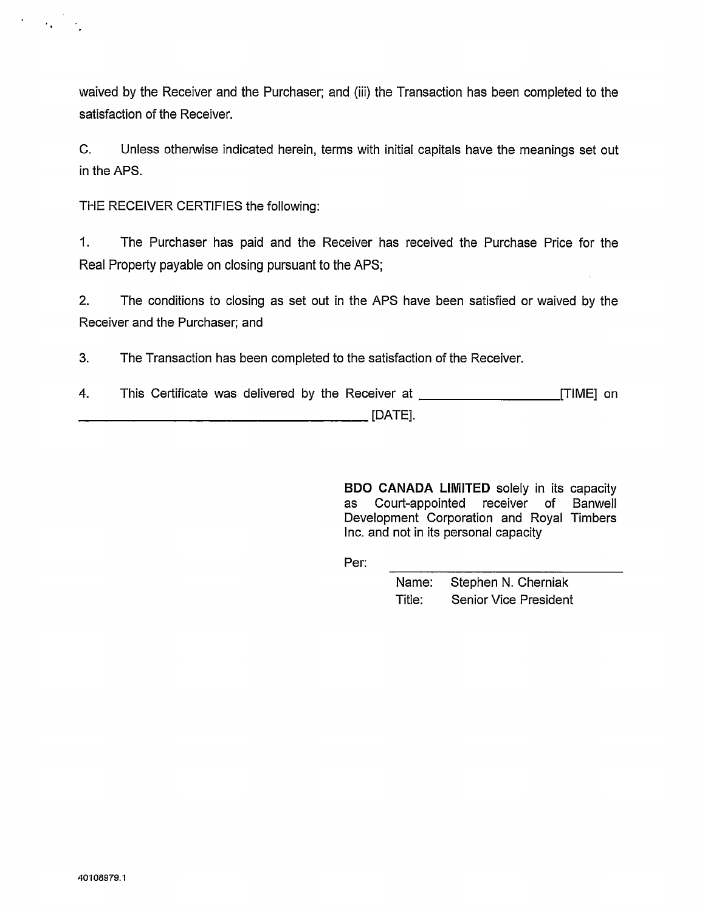waived by the Receiver and the Purchaser; and (iii) the Transaction has been completed to the satisfaction of the Receiver.

C. Unless otherwise indicated herein, terms with initial capitals have the meanings set out in the APS.

THE RECEIVER CERTIFIES the following:

 $\mathcal{F}^{\text{max}}_{\text{max}}$  and  $\mathcal{F}^{\text{max}}_{\text{max}}$ 

1. The Purchaser has paid and the Receiver has received the Purchase Price for the Real Property payable on closing pursuant to the APS;

2. The conditions to closing as set out in the APS have been satisfied or waived by the Receiver and the Purchaser; and

3. The Transaction has been completed to the satisfaction of the Receiver.

4. This Certificate was delivered by the Receiver at \_\_\_\_\_\_\_\_\_\_\_\_\_\_\_\_\_\_\_\_\_\_\_\_\_\_\_[TIME] on  $[DATE]$ .

> BDO CANADA LIMITED solely in its capacity as Court-appointed receiver of Banwell Development Corporation and Royal Timbers Inc. and not in its personal capacity

Per:

Name: Stephen N. Cherniak Title: Senior Vice President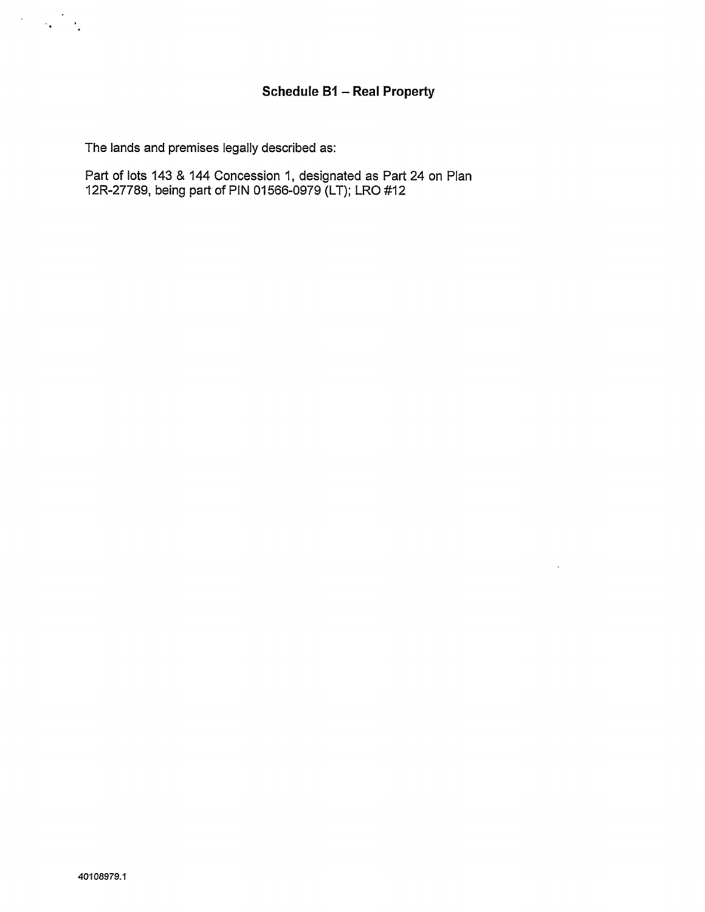The lands and premises legally described as:

Part of lots 143 & 144 Concession 1, designated as Part 24 on Plan 12R-27789, being part of PIN 01566-0979 (LT); LRO #12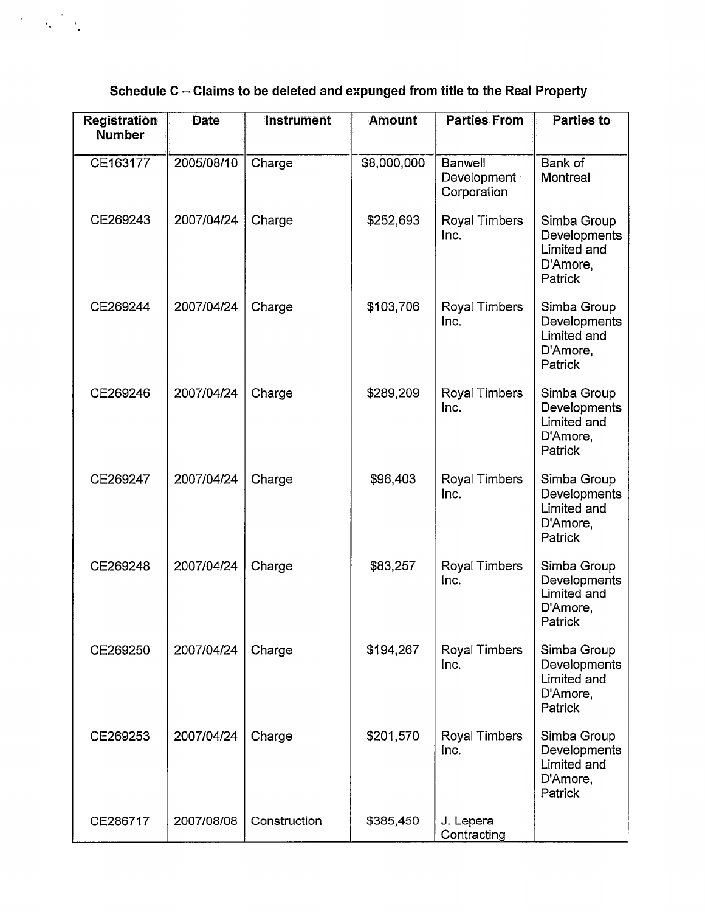# **Schedule <sup>C</sup> - Claims to be deleted and expunged from title to the Real Property**

 $\mathcal{A}^{\text{max}}_{\text{max}}$ 

| <b>Registration</b><br><b>Number</b> | <b>Date</b> | <b>Instrument</b> | <b>Amount</b> | <b>Parties From</b>                          | <b>Parties to</b>                                                 |
|--------------------------------------|-------------|-------------------|---------------|----------------------------------------------|-------------------------------------------------------------------|
| CE163177                             | 2005/08/10  | Charge            | \$8,000,000   | <b>Banwell</b><br>Development<br>Corporation | Bank of<br>Montreal                                               |
| CE269243                             | 2007/04/24  | Charge            | \$252,693     | Royal Timbers<br>Inc.                        | Simba Group<br>Developments<br>Limited and<br>D'Amore,<br>Patrick |
| CE269244                             | 2007/04/24  | Charge            | \$103,706     | Royal Timbers<br>Inc.                        | Simba Group<br>Developments<br>Limited and<br>D'Amore,<br>Patrick |
| CE269246                             | 2007/04/24  | Charge            | \$289,209     | Royal Timbers<br>Inc.                        | Simba Group<br>Developments<br>Limited and<br>D'Amore,<br>Patrick |
| CE269247                             | 2007/04/24  | Charge            | \$96,403      | Royal Timbers<br>Inc.                        | Simba Group<br>Developments<br>Limited and<br>D'Amore,<br>Patrick |
| CE269248                             | 2007/04/24  | Charge            | \$83,257      | Royal Timbers<br>Inc.                        | Simba Group<br>Developments<br>Limited and<br>D'Amore,<br>Patrick |
| CE269250                             | 2007/04/24  | Charge            | \$194,267     | Royal Timbers<br>Inc.                        | Simba Group<br>Developments<br>Limited and<br>D'Amore,<br>Patrick |
| CE269253                             | 2007/04/24  | Charge            | \$201,570     | Royal Timbers<br>Inc.                        | Simba Group<br>Developments<br>Limited and<br>D'Amore,<br>Patrick |
| CE286717                             | 2007/08/08  | Construction      | \$385,450     | J. Lepera<br>Contracting                     |                                                                   |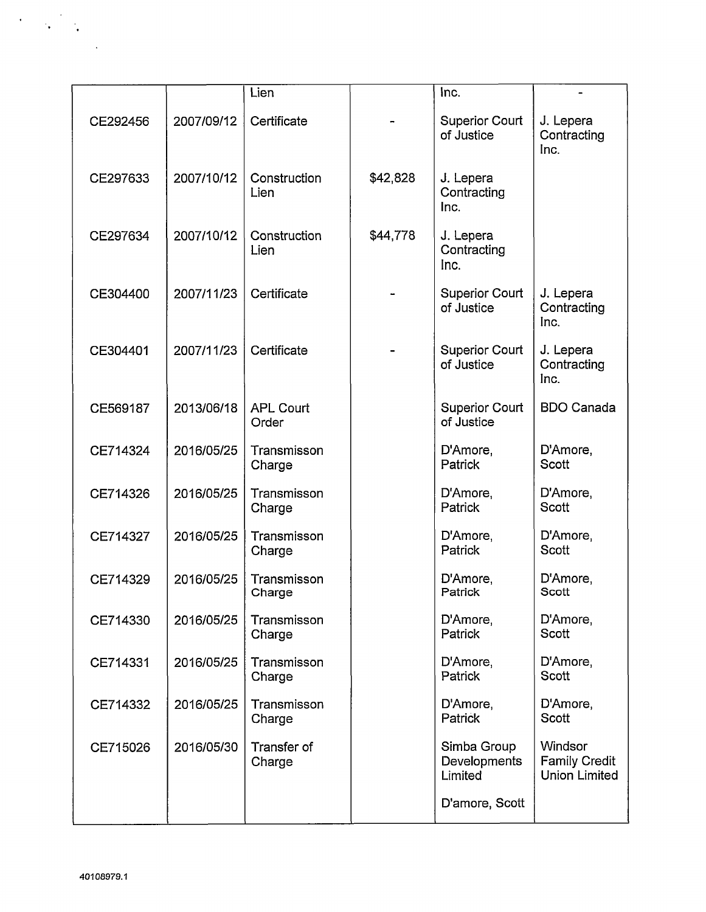|          |            | Lien                      |          | Inc.                                   |                                                         |
|----------|------------|---------------------------|----------|----------------------------------------|---------------------------------------------------------|
| CE292456 | 2007/09/12 | Certificate               |          | <b>Superior Court</b><br>of Justice    | J. Lepera<br>Contracting<br>Inc.                        |
| CE297633 | 2007/10/12 | Construction<br>Lien      | \$42,828 | J. Lepera<br>Contracting<br>Inc.       |                                                         |
| CE297634 | 2007/10/12 | Construction<br>Lien      | \$44,778 | J. Lepera<br>Contracting<br>Inc.       |                                                         |
| CE304400 | 2007/11/23 | Certificate               |          | <b>Superior Court</b><br>of Justice    | J. Lepera<br>Contracting<br>Inc.                        |
| CE304401 | 2007/11/23 | Certificate               |          | <b>Superior Court</b><br>of Justice    | J. Lepera<br>Contracting<br>Inc.                        |
| CE569187 | 2013/06/18 | <b>APL Court</b><br>Order |          | <b>Superior Court</b><br>of Justice    | <b>BDO Canada</b>                                       |
| CE714324 | 2016/05/25 | Transmisson<br>Charge     |          | D'Amore,<br>Patrick                    | D'Amore,<br><b>Scott</b>                                |
| CE714326 | 2016/05/25 | Transmisson<br>Charge     |          | D'Amore,<br>Patrick                    | D'Amore,<br><b>Scott</b>                                |
| CE714327 | 2016/05/25 | Transmisson<br>Charge     |          | D'Amore,<br>Patrick                    | D'Amore,<br><b>Scott</b>                                |
| CE714329 | 2016/05/25 | Transmisson<br>Charge     |          | D'Amore,<br>Patrick                    | D'Amore,<br>Scott                                       |
| CE714330 | 2016/05/25 | Transmisson<br>Charge     |          | D'Amore,<br>Patrick                    | D'Amore,<br>Scott                                       |
| CE714331 | 2016/05/25 | Transmisson<br>Charge     |          | D'Amore,<br>Patrick                    | D'Amore,<br><b>Scott</b>                                |
| CE714332 | 2016/05/25 | Transmisson<br>Charge     |          | D'Amore,<br><b>Patrick</b>             | D'Amore,<br><b>Scott</b>                                |
| CE715026 | 2016/05/30 | Transfer of<br>Charge     |          | Simba Group<br>Developments<br>Limited | Windsor<br><b>Family Credit</b><br><b>Union Limited</b> |
|          |            |                           |          | D'amore, Scott                         |                                                         |

 $\label{eq:2} \frac{1}{2} \int_{\mathbb{R}^3} \frac{1}{\sqrt{2}} \, \frac{1}{\sqrt{2}} \, \frac{1}{\sqrt{2}} \, \frac{1}{\sqrt{2}} \, \frac{1}{\sqrt{2}} \, \frac{1}{\sqrt{2}} \, \frac{1}{\sqrt{2}} \, \frac{1}{\sqrt{2}} \, \frac{1}{\sqrt{2}} \, \frac{1}{\sqrt{2}} \, \frac{1}{\sqrt{2}} \, \frac{1}{\sqrt{2}} \, \frac{1}{\sqrt{2}} \, \frac{1}{\sqrt{2}} \, \frac{1}{\sqrt{2}} \, \frac{1}{\sqrt{2}} \, \frac$ 

 $\bar{\mathcal{A}}$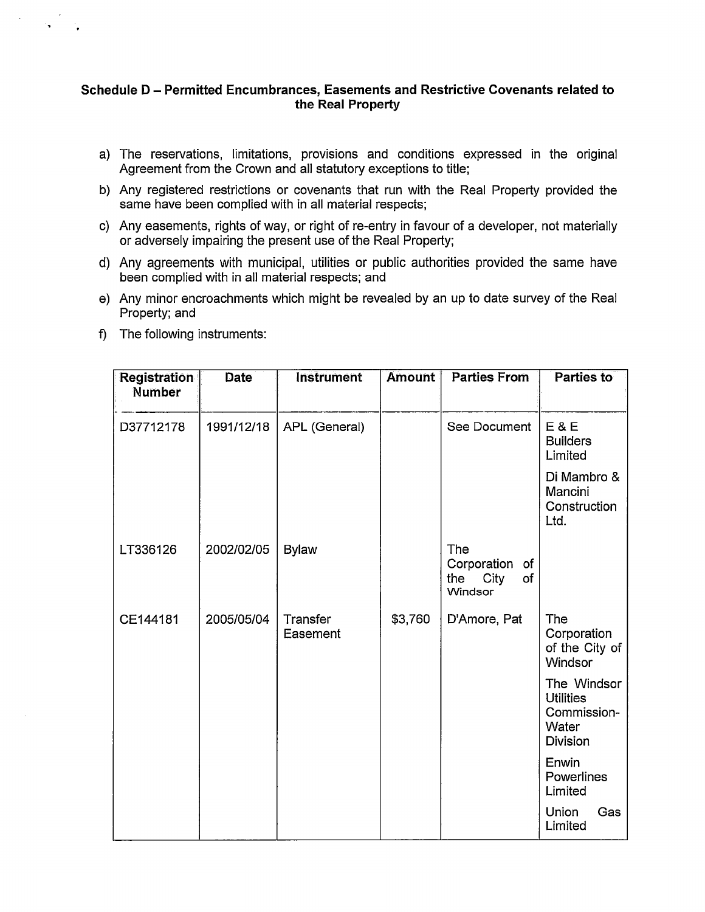## **Schedule <sup>D</sup> - Permitted Encumbrances, Easements and Restrictive Covenants related to the Real Property**

- a) The reservations, limitations, provisions and conditions expressed in the original Agreement from the Crown and all statutory exceptions to title;
- b) Any registered restrictions or covenants that run with the Real Property provided the same have been complied with in all material respects;
- c) Any easements, rights of way, or right of re-entry in favour of a developer, not materially or adversely impairing the present use of the Real Property;
- d) Any agreements with municipal, utilities or public authorities provided the same have been complied with in all material respects; and
- e) Any minor encroachments which might be revealed by an up to date survey of the Real Property; and
- f) The following instruments:

| <b>Registration</b><br><b>Number</b> | <b>Date</b> | <b>Instrument</b>    | Amount  | <b>Parties From</b>                                   | <b>Parties to</b>                                                          |
|--------------------------------------|-------------|----------------------|---------|-------------------------------------------------------|----------------------------------------------------------------------------|
|                                      |             |                      |         |                                                       |                                                                            |
| D37712178                            | 1991/12/18  | APL (General)        |         | See Document                                          | E & E<br><b>Builders</b><br>Limited                                        |
|                                      |             |                      |         |                                                       | Di Mambro &<br>Mancini<br>Construction<br>Ltd.                             |
| LT336126                             | 2002/02/05  | <b>Bylaw</b>         |         | The<br>Corporation of<br>City<br>of<br>the<br>Windsor |                                                                            |
| CE144181                             | 2005/05/04  | Transfer<br>Easement | \$3,760 | D'Amore, Pat                                          | The<br>Corporation<br>of the City of<br>Windsor                            |
|                                      |             |                      |         |                                                       | The Windsor<br><b>Utilities</b><br>Commission-<br>Water<br><b>Division</b> |
|                                      |             |                      |         |                                                       | Enwin<br>Powerlines<br>Limited                                             |
|                                      |             |                      |         |                                                       | Union<br>Gas<br>Limited                                                    |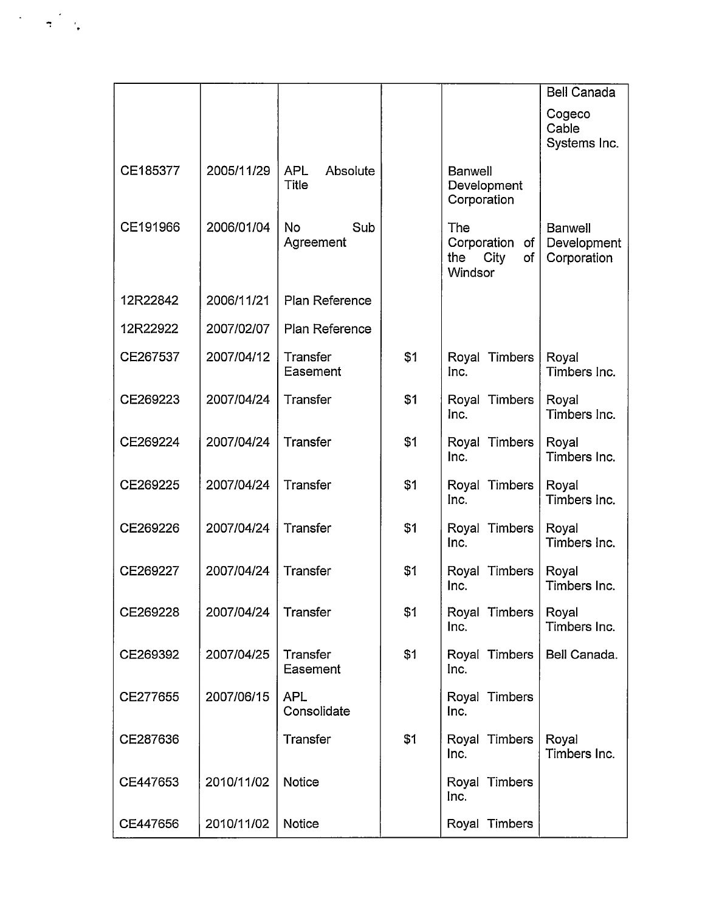|          |            |                                        |     |                                                          | <b>Bell Canada</b>                           |
|----------|------------|----------------------------------------|-----|----------------------------------------------------------|----------------------------------------------|
|          |            |                                        |     |                                                          | Cogeco<br>Cable<br>Systems Inc.              |
| CE185377 | 2005/11/29 | Absolute<br><b>APL</b><br><b>Title</b> |     | Banwell<br>Development<br>Corporation                    |                                              |
| CE191966 | 2006/01/04 | <b>No</b><br>Sub<br>Agreement          |     | The<br>Corporation<br>of<br>City<br>of<br>the<br>Windsor | <b>Banwell</b><br>Development<br>Corporation |
| 12R22842 | 2006/11/21 | Plan Reference                         |     |                                                          |                                              |
| 12R22922 | 2007/02/07 | Plan Reference                         |     |                                                          |                                              |
| CE267537 | 2007/04/12 | Transfer<br>Easement                   | \$1 | Royal Timbers<br>Inc.                                    | Royal<br>Timbers Inc.                        |
| CE269223 | 2007/04/24 | Transfer                               | \$1 | Royal Timbers<br>Inc.                                    | Royal<br>Timbers Inc.                        |
| CE269224 | 2007/04/24 | Transfer                               | \$1 | Royal Timbers<br>Inc.                                    | Royal<br>Timbers Inc.                        |
| CE269225 | 2007/04/24 | Transfer                               | \$1 | Royal Timbers<br>Inc.                                    | Royal<br>Timbers Inc.                        |
| CE269226 | 2007/04/24 | Transfer                               | \$1 | Royal Timbers<br>Inc.                                    | Royal<br>Timbers Inc.                        |
| CE269227 | 2007/04/24 | Transfer                               | \$1 | Royal Timbers<br>Inc.                                    | Royal<br>Timbers Inc.                        |
| CE269228 | 2007/04/24 | Transfer                               | \$1 | Royal Timbers<br>Inc.                                    | Royal<br>Timbers Inc.                        |
| CE269392 | 2007/04/25 | Transfer<br>Easement                   | \$1 | Royal Timbers<br>Inc.                                    | Bell Canada.                                 |
| CE277655 | 2007/06/15 | <b>APL</b><br>Consolidate              |     | Royal Timbers<br>Inc.                                    |                                              |
| CE287636 |            | Transfer                               | \$1 | Royal Timbers<br>Inc.                                    | Royal<br>Timbers Inc.                        |
| CE447653 | 2010/11/02 | Notice                                 |     | Royal Timbers<br>Inc.                                    |                                              |
| CE447656 | 2010/11/02 | Notice                                 |     | Royal Timbers                                            |                                              |

 $\label{eq:2} \frac{1}{\sqrt{2}}\left(\frac{1}{\sqrt{2}}\right)^2\frac{1}{\sqrt{2}}\left(\frac{1}{\sqrt{2}}\right)^2.$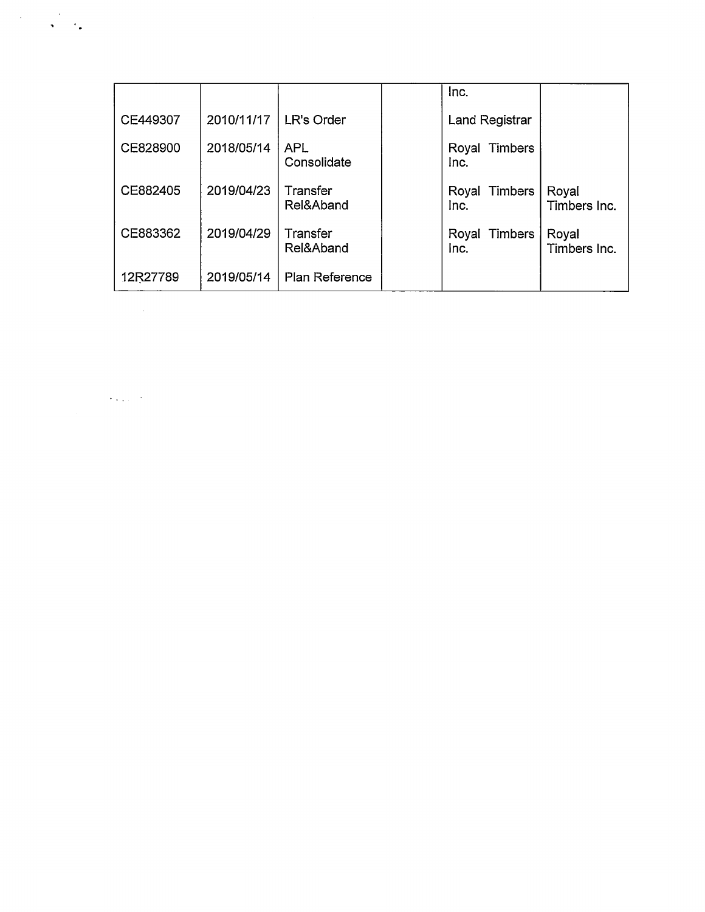|          |            |                           | Inc.                     |                       |
|----------|------------|---------------------------|--------------------------|-----------------------|
| CE449307 | 2010/11/17 | LR's Order                | Land Registrar           |                       |
| CE828900 | 2018/05/14 | <b>APL</b><br>Consolidate | Timbers<br>Royal<br>Inc. |                       |
| CE882405 | 2019/04/23 | Transfer<br>Rel&Aband     | Royal Timbers<br>Inc.    | Royal<br>Timbers Inc. |
| CE883362 | 2019/04/29 | Transfer<br>Rel&Aband     | Royal Timbers<br>Inc.    | Royal<br>Timbers Inc. |
| 12R27789 | 2019/05/14 | Plan Reference            |                          |                       |

 $\label{eq:2.1} \mathcal{L}(\mathcal{L}^{\mathcal{L}}_{\mathcal{L}}(\mathcal{L}^{\mathcal{L}}_{\mathcal{L}}(\mathcal{L}^{\mathcal{L}}_{\mathcal{L}}(\mathcal{L}^{\mathcal{L}}_{\mathcal{L}}(\mathcal{L}^{\mathcal{L}}_{\mathcal{L}}(\mathcal{L}^{\mathcal{L}}_{\mathcal{L}})))\otimes \mathcal{L}^{\mathcal{L}}_{\mathcal{L}}(\mathcal{L}^{\mathcal{L}}_{\mathcal{L}}(\mathcal{L}^{\mathcal{L}}_{\mathcal{L}}(\mathcal{L}^{\mathcal{L}}_{\mathcal{L}}(\$